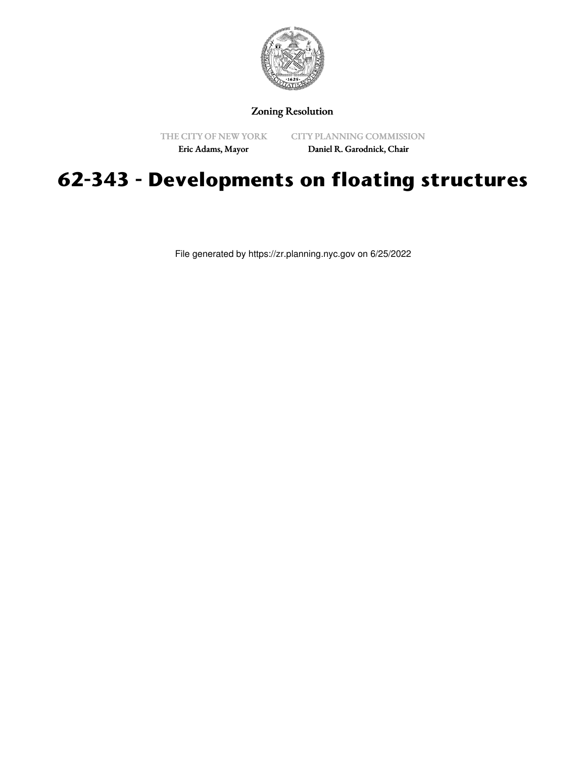

## Zoning Resolution

THE CITY OF NEW YORK Eric Adams, Mayor

CITY PLANNING COMMISSION

Daniel R. Garodnick, Chair

## **62-343 - Developments on floating structures**

File generated by https://zr.planning.nyc.gov on 6/25/2022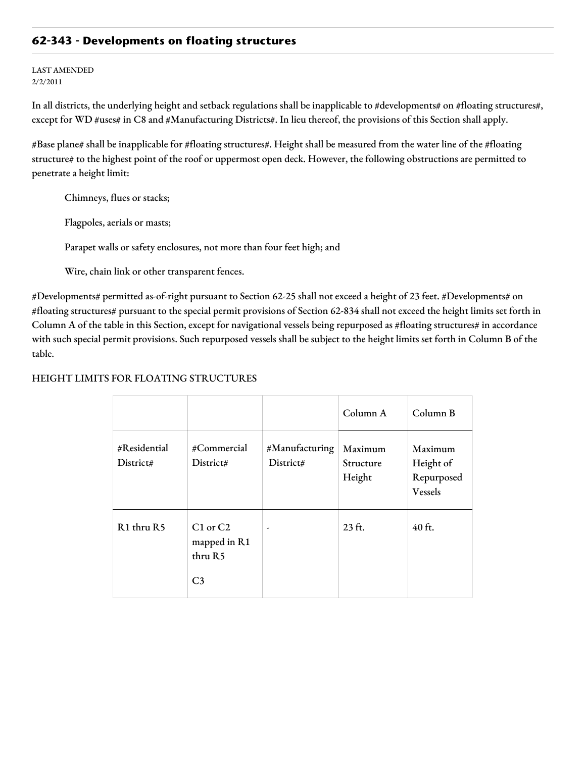## **62-343 - Developments on floating structures**

LAST AMENDED 2/2/2011

In all districts, the underlying height and setback regulations shall be inapplicable to #developments# on #floating structures#, except for WD #uses# in C8 and #Manufacturing Districts#. In lieu thereof, the provisions of this Section shall apply.

#Base plane# shall be inapplicable for #floating structures#. Height shall be measured from the water line of the #floating structure# to the highest point of the roof or uppermost open deck. However, the following obstructions are permitted to penetrate a height limit:

Chimneys, flues or stacks;

Flagpoles, aerials or masts;

Parapet walls or safety enclosures, not more than four feet high; and

Wire, chain link or other transparent fences.

#Developments# permitted as-of-right pursuant to Section 62-25 shall not exceed a height of 23 feet. #Developments# on #floating structures# pursuant to the special permit provisions of Section 62-834 shall not exceed the height limits set forth in Column A of the table in this Section, except for navigational vessels being repurposed as #floating structures# in accordance with such special permit provisions. Such repurposed vessels shall be subject to the height limits set forth in Column B of the table.

## HEIGHT LIMITS FOR FLOATING STRUCTURES

|                           |                                                           |                             | Column A                       | Column B                                             |
|---------------------------|-----------------------------------------------------------|-----------------------------|--------------------------------|------------------------------------------------------|
| #Residential<br>District# | #Commercial<br>District#                                  | #Manufacturing<br>District# | Maximum<br>Structure<br>Height | Maximum<br>Height of<br>Repurposed<br><b>Vessels</b> |
| R1 thru R5                | $C1$ or $C2$<br>mapped in R1<br>thru R5<br>C <sub>3</sub> | $\overline{\phantom{a}}$    | 23 ft.                         | $40$ ft.                                             |